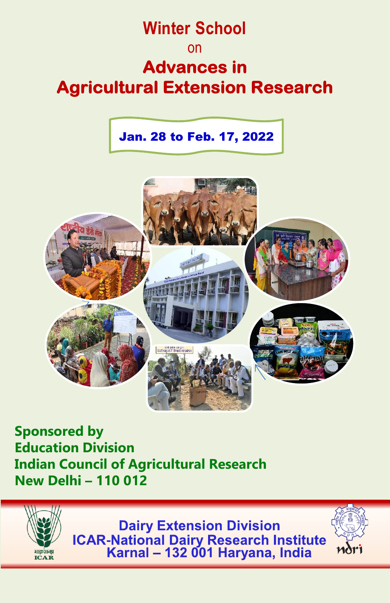# **Winter School** on **Advances in Agricultural Extension Research**

 Jan. 28 to Feb. 17, 2022



**Sponsored by Education Division Indian Council of Agricultural Research New Delhi – 110 012**

भाकः अनप **ICAR** 



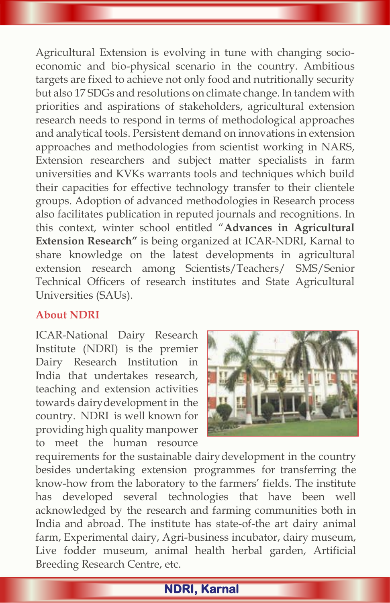Agricultural Extension is evolving in tune with changing socioeconomic and bio-physical scenario in the country. Ambitious targets are fixed to achieve not only food and nutritionally security but also 17 SDGs and resolutions on climate change. In tandem with priorities and aspirations of stakeholders, agricultural extension research needs to respond in terms of methodological approaches and analytical tools. Persistent demand on innovations in extension approaches and methodologies from scientist working in NARS, Extension researchers and subject matter specialists in farm universities and KVKs warrants tools and techniques which build their capacities for effective technology transfer to their clientele groups. Adoption of advanced methodologies in Research process also facilitates publication in reputed journals and recognitions. In this context, winter school entitled "**Advances in Agricultural Extension Research"** is being organized at ICAR-NDRI, Karnal to share knowledge on the latest developments in agricultural extension research among Scientists/Teachers/ SMS/Senior Technical Officers of research institutes and State Agricultural Universities (SAUs).

## **About NDRI**

ICAR-National Dairy Research Institute (NDRI) is the premier Dairy Research Institution in India that undertakes research, teaching and extension activities towards dairydevelopment in the country. NDRI is well known for providing high quality manpower to meet the human resource



requirements for the sustainable dairydevelopment in the country besides undertaking extension programmes for transferring the know-how from the laboratory to the farmers' fields. The institute has developed several technologies that have been well acknowledged by the research and farming communities both in India and abroad. The institute has state-of-the art dairy animal farm, Experimental dairy, Agri-business incubator, dairy museum, Live fodder museum, animal health herbal garden, Artificial Breeding Research Centre, etc.

# **NDRI, Karnal**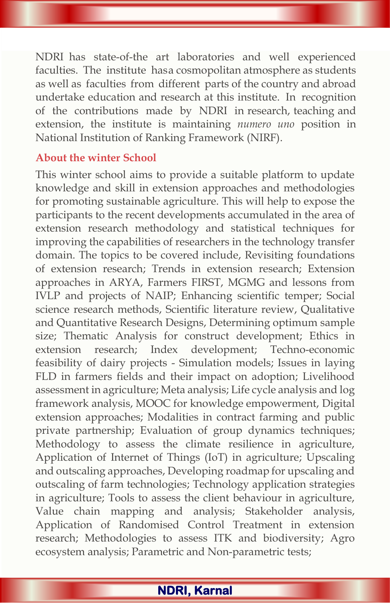NDRI has state-of-the art laboratories and well experienced faculties. The institute hasa cosmopolitan atmosphere as students as well as faculties from different parts of the country and abroad undertake education and research at this institute. In recognition of the contributions made by NDRI in research, teaching and extension, the institute is maintaining *numero uno* position in National Institution of Ranking Framework (NIRF).

## **About the winter School**

This winter school aims to provide a suitable platform to update knowledge and skill in extension approaches and methodologies for promoting sustainable agriculture. This will help to expose the participants to the recent developments accumulated in the area of extension research methodology and statistical techniques for improving the capabilities of researchers in the technology transfer domain. The topics to be covered include, Revisiting foundations of extension research; Trends in extension research; Extension approaches in ARYA, Farmers FIRST, MGMG and lessons from IVLP and projects of NAIP; Enhancing scientific temper; Social science research methods, Scientific literature review, Qualitative and Quantitative Research Designs, Determining optimum sample size; Thematic Analysis for construct development; Ethics in extension research; Index development; Techno-economic feasibility of dairy projects - Simulation models; Issues in laying FLD in farmers fields and their impact on adoption; Livelihood assessment in agriculture; Meta analysis; Life cycle analysis and log framework analysis, MOOC for knowledge empowerment, Digital extension approaches; Modalities in contract farming and public private partnership; Evaluation of group dynamics techniques; Methodology to assess the climate resilience in agriculture, Application of Internet of Things (IoT) in agriculture; Upscaling and outscaling approaches, Developing roadmap for upscaling and outscaling of farm technologies; Technology application strategies in agriculture; Tools to assess the client behaviour in agriculture, Value chain mapping and analysis; Stakeholder analysis, Application of Randomised Control Treatment in extension research; Methodologies to assess ITK and biodiversity; Agro ecosystem analysis; Parametric and Non-parametric tests;

# **NDRI, Karnal**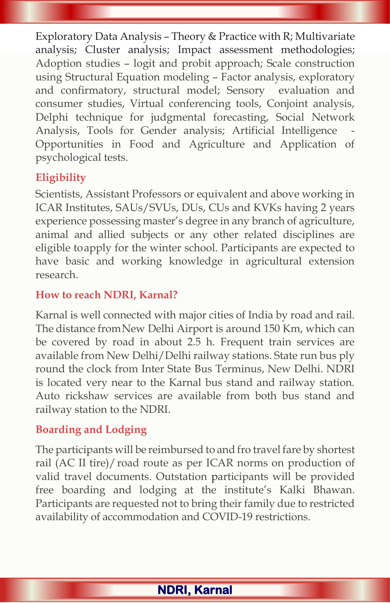Exploratory Data Analysis – Theory & Practice with R; Multivariate analysis; Cluster analysis; Impact assessment methodologies; Adoption studies – logit and probit approach; Scale construction using Structural Equation modeling – Factor analysis, exploratory and confirmatory, structural model; Sensory evaluation and consumer studies, Virtual conferencing tools, Conjoint analysis, Delphi technique for judgmental forecasting, Social Network Analysis, Tools for Gender analysis; Artificial Intelligence Opportunities in Food and Agriculture and Application of psychological tests.

# **Eligibility**

Scientists, Assistant Professors or equivalent and above working in ICAR Institutes, SAUs/SVUs, DUs, CUs and KVKs having 2 years experience possessing master's degree in any branch of agriculture, animal and allied subjects or any other related disciplines are eligible toapply for the winter school. Participants are expected to have basic and working knowledge in agricultural extension research.

## **How to reach NDRI, Karnal?**

Karnal is well connected with major cities of India by road and rail. The distance fromNew Delhi Airport is around 150 Km, which can be covered by road in about 2.5 h. Frequent train services are available from New Delhi/Delhi railway stations. State run bus ply round the clock from Inter State Bus Terminus, New Delhi. NDRI is located very near to the Karnal bus stand and railway station. Auto rickshaw services are available from both bus stand and railway station to the NDRI.

# **Boarding and Lodging**

The participants will be reimbursed to and fro travel fare by shortest rail (AC II tire)/ road route as per ICAR norms on production of valid travel documents. Outstation participants will be provided free boarding and lodging at the institute's Kalki Bhawan. Participants are requested not to bring their family due to restricted availability of accommodation and COVID-19 restrictions.